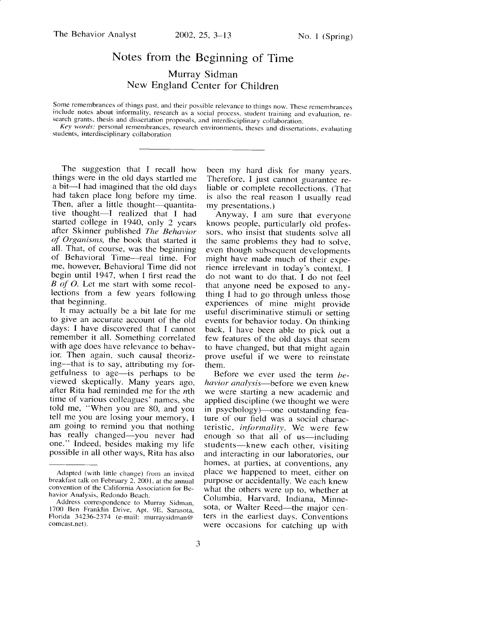## Notes from the Beginning of Time

## Murray Sidman New England Center for Children

Some remembrances of things past, and their possible relevance to things now. These remembrances include notes about informality, research as a social process, student training and evaluation, research grants, thesis and dissertation proposals, and interdisciplinary collaboration.

Key words: personal remembrances, research environments, theses and dissertations, evaluating students, interdisciplinarv collaboration

The suggestion that I recall how things were in the old days startled me a bit-I had imagined that the old days had taken place long before my time. Then, after a little thought-quantitative thought-I realized that I had started college in 1940, only 2 years after Skinner published The Behavior of Organisms, the book that started it all. That, of course, was the beginning of Behavioral Time-real time. For me, however, Behavioral Time did not begin until 1947, when I first read the  $B \text{ of } O$ . Let me start with some recollections from a few years following that beginning.

It may actually be a bit late for me to give an accurate account of the old days: I have discovered that I cannot remember it all. Something correlated with age does have relevance to behavior. Then again, such causal theorizing—that is to say, attributing my forgetfulness to age-is perhaps to be viewed skeptically. Many years ago, after Rita had reminded me for the nth time of various colleagues' names, she told me, "When you are 80, and you tell me you are losing your memory, I am going to remind you that nothing has really changed—you never had one." Indeed, besides making my life possible in all other ways, Rita has also

been my hard disk for many years. Therefore, I just cannot guarantee reliable or complete recollections. (That is also the real reason I usually read my presentations.)

Anyway, I am sure that everyone knows people, particularly old professors, who insist that students solve all the same problems they had to solve, even though subsequent developments might have made much of their experience irrelevant in today's context. I do not want to do that. I do not feel that anyone need be exposed to anything I had to go through unless those experiences of mine might provide useful discriminative stimuli or settins events for behavior today. On thinking back, I have been able to pick out a few features of the old days that seem to have changed, but that might again prove useful if we were to reinstate them.

Before we ever used the term behavior analysis—before we even knew we were starting a new academic and applied discipline (we thought we were in psychology)—one outstanding feature of our field was a social characteristic, informality. We were few enough so that all of us—including students-knew each other, visiting and interacting in our laboratories, our homes, at parties, at conventions, any place we happened to meet. either on purpose or accidentally. We each knew what the others were up to, whether at Columbia, Harvard, lndiana, Minnesota, or Walter Reed-the major cenlers in the earliest days. Conventions were occasions for catching up with

Adapted (with little change) from an invited breakfast talk on February 2,2OOl, at the annual convention of the California Association for Behavior Analysis, Redondo Bcach.

Address correspondence to Murray Sidman, 1700 Ben Franklin Drive, Apr. 9E, Sarasota. Florida 34236-2374 (e-mail: murraysidman@ comcast.net).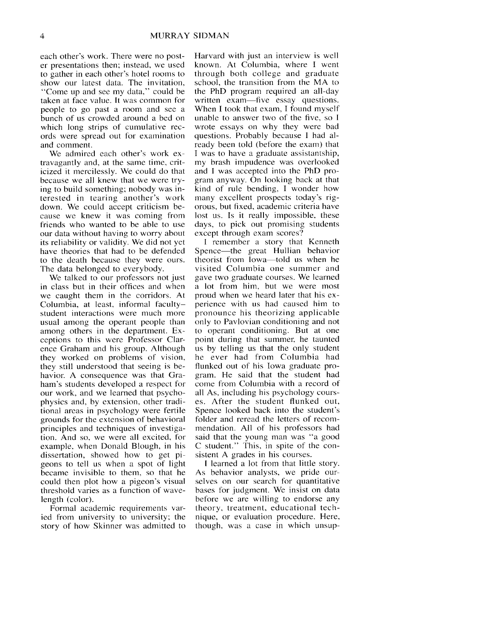each other's work. There were no poster presentations then; instead, we used to gather in each other's hotel rooms to show our latest data. The invitation, "Come up and see my data," could be taken at face value. It was common for people to go past a room and see a bunch of us crowded around a bed on which long strips of cumulative records were spread out for examination and comment.

We admired each other's work extravagantly and, at the same time, criticized it mercilessly. We could do that because we all knew that we were trying to build something; nobody was interested in tearing another's work down. We could accept criticism because we knew it was coming from friends who wanted to be able to use our data without having to worry about its reliability or validity. We did not yet have theories that had to be defended to the death because they were ours. The data belonged to everybody.

We talked to our professors not just in class but in their offices and when we caught them in the corridors. At Columbia, at least, informal facultystudent interactions were much more usual among the operant people than among others in the department. Exceptions to this were Professor Clarence Graham and his group. Although they worked on problems of vision, they still understood that seeing is behavior. A consequence was that Graham's students developed a respect for our work, and we learned that psychophysics and, by extension, other traditional areas in psychology were fertile grounds for the extension of behavioral principles and techniques of investigation. And so, we were all excited, for example, when Donald Blough, in his dissertation, showed how to get pigeons to tell us when a spot of light became invisible to them. so that he could then plot how a pigeon's visual threshold varies as a function of wavelength (color).

Formal academic requirements varied from university to university, the story of how Skinner was admitted to

Harvard with just an interview is well known. At Columbia, where I went through both college and graduate school, the transition from the MA to the PhD program required an all-day written exam-five essay questions. When I took that exam, I found myself unable to answer two of the five. so I wrote essays on why they were bad questions. Probably because I had already been told (before the exam) that I was to have a graduate assistantship, my brash impudence was overlooked and I was accepted into the PhD program anyway. On looking back at that kind of rule bending, I wonder how many excellent prospects today's rigorous, but fixed, academic criteria have lost us. Is it really impossible, these days, to pick out promising students except through exam scores'?

I remember a story that Kenneth Spence-the great Hullian behavior theorist from Iowa-told us when he visited Columbia one summer and gave two graduate courses. We learned a lot from him. but we were most proud when we heard later that his experience with us had caused him to pronounce his theorizing applicable only to Pavlovian conditioning and not to operant conditioning. But at one point during that summer, he taunted us by telling us that the only student he ever had from Columbia had flunked out of his Iowa graduate program. He said that the student had come from Columbia with a record of all As, including his psychology courses. After the student flunked out. Spence looked back into the student's folder and reread the letters of recommendation. All of his professors had said that the young man was "a good C student." This, in spite of the consistent A grades in his courses.

I learned a lot from that little story. As behavior analysts, we pride ourselves on our search for quantitative bases for judgment. We insist on data before we are willing to endorse any theory, treatment, educational technique, or evaluation procedure. Here, though, was a case in which unsup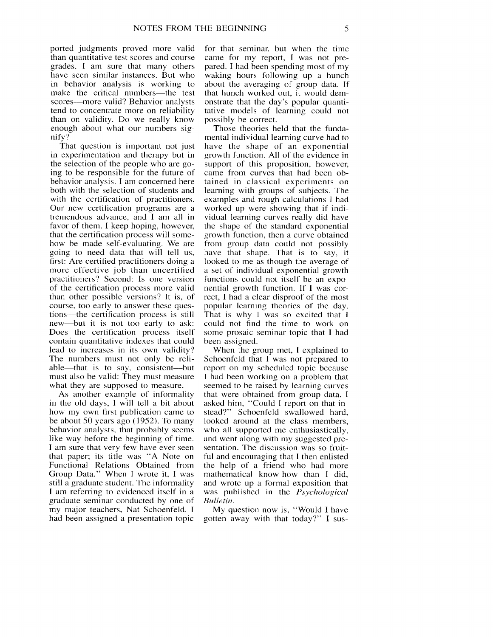ported judgments proved more valid than quantitative test scores and course grades. I am sure that many others have seen similar instances. But who in behavior analysis is working to make the critical numbers-the test scores-more valid? Behavior analysts tend to concentrate more on reliability than on validity. Do we really know enough about what our numbers signify?

That question is important not just in experimentation and therapy but in the selection of the people who are going to be responsible for the future of behavior analysis. I am concerned here both with the selection of students and with the certification of practitioners. Our new certification programs are a tremendous advance. and I am all in favor of them. I keep hoping, however, that the certification process will somehow be made self-evaluating. We are going to need data that will tell us, first: Are certified practitioners doing a more effective job than uncertified practitioners? Second: Is one version of the certification process more valid than other possible versions? It is, of course, too early to answer these questions-the certification process is still new-but it is not too early to ask: Does the certification process itself contain quantitative indexes that could lead to increases in its own validity? The numbers must not only be reliable—that is to say, consistent—but must also be valid: They must measure what they are supposed to measure.

As another example of informality in the old days, I will tell a bit about how my own first publication came to be about 50 years ago (1952). To many behavior analysts, that probably seems like way before the beginning of time. I am sure that very few have ever seen that paper; its title was "A Note on Functional Relations Obtained from Group Data." When I wrote it, I was still a graduate student. The informality I am referring to evidenced itself in a graduate seminar conducted by one of my major teachers, Nat Schoenfeld. I had been assigned a presentation topic

for that seminar, but when the time came for my report, I was not prepared. I had been spending most of my waking hours following up a hunch about the averaging of group data. If that hunch worked out. it would demonstrate that the day's popular quantitative models of learning could not possibly be correct.

Those theories held that the fundamental individual learning curve had to have the shape of an exponential growth function. AII of the evidence in support of this proposition, however, came fiom curves that had been obtained in classical experiments on learning with groups of subjects. The examples and rough calculations I had worked up were showing that if individual learning curves really did have the shape of the standard exponential growth function, then a curve obtained from group data could not possibly have that shape. That is to say, it looked to me as though the average of a set of individual exponential growth functions could not itself be an exponential growth function. lf I was correct, I had a clear disproof of the most popular learning theories of the day. That is why I was so excited that I could not find the time to work on some prosaic seminar topic that I had been assigned.

When the group met, I explained to Schoenfeld that I was not prepared to report on my scheduled topic because I had been working on a problem that seemed to be raised by learning curves that were obtained from group data. I asked him, "Could I report on that instead?" Schoenfeld swallowed hard. looked around at the class members, who all supported me enthusiastically, and went along with my suggested presentation. The discussion was so fruitful and encouraging that I then enlisted the help of a friend who had more mathematical know-how than I did, and wrote up a formal exposition that was published in the Psychological Bulletin.

My question now is, "Would I have gotten away with that today?" I sus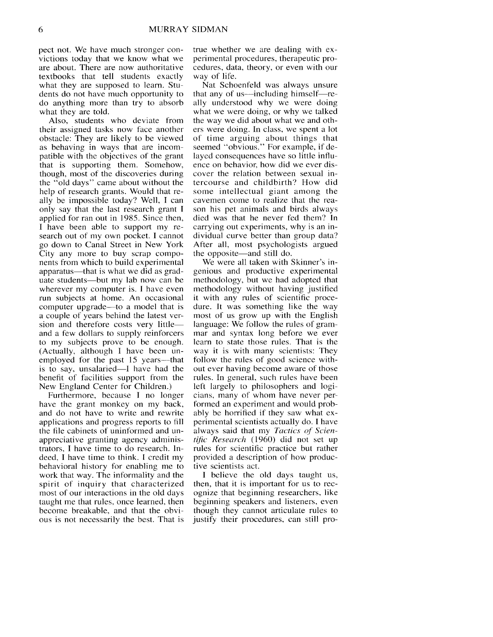pect not. We have much stronger convictions today that we know what we are about. There are now authoritative textbooks that tell students exactly what they are supposed to learn. Students do not have much opportunity to do anything more than try to absorb what they are told.

Also, students who deviate fiom their assigned tasks now face another obstacle: They are likely to be viewed as behaving in ways that are incompatible with the objectives of the grant that is supporting them. Somehow, though, most of the discoveries during the "old days" came about without the help of research grants. Would that really be impossible today? Well, I can only say that the last research grant I applied for ran out in 1985. Since then, I have been able to support my research out of my own pocket. I cannot go down to Canal Street in New York City any more to buy scrap components from which to build experimental apparatus—that is what we did as graduate students—but my lab now can be wherever my computer is. I have even run subjects at home. An occasional computer upgrade—to a model that is a couple of years behind the latest version and therefore costs very littleand a few dollars to supply reinforcers to my subjects prove to be enough. (Actually, although I have been unemployed for the past 15 years—that is to say, unsalaried-I have had the benefit of facilities support from the New England Center for Children.)

Furthermore, because I no longer have the grant monkey on my back, and do not have to write and rewrite applications and progress reports to fill the file cabinets of uninformed and unappreciative granting agency administrators. I have time to do research. lndeed, I have time to think. I credit my behavioral history for enabling me to work that way. The informality and the spirit of inquiry that characterized most of our interactions in the old days taught me that rules, once learned, then become breakable. and that the obvious is not necessarily the best. That is

true whether we are dealing with experimental procedures, therapeutic procedures, data, theory, or even with our way of life.

Nat Schoenfeld was always unsure that any of us—including himself—really understood why we were doing what we were doing, or why we talked the way we did about what we and others were doing. In class, we spent a lot of time arguing about things that seerned "obvious." For example, if delayed consequences have so little influence on behavior. how did we ever discover the relation between sexual intercourse and childbirth? How did some intellectual giant among the cavemen come to realize that the reason his pet animals and birds always died was that he never fed them? In carrying out experiments, why is an individual curve better than group data? After all, most psychologists argued the opposite—and still do.

We were all taken with Skinner's ingenious and productive experimental methodology, but we had adopted that methodology without having justified it with any rules of scientific procedure. It was something like the way most of us grow up with the English language: We follow the rules of grammar and syntax long before we ever learn to state those rules. That is the way it is with many scientists: They follow the rules of good science without ever having become aware of those rules. In general, such rules have been Iett largely to philosophers and logicians, many of whom have never performed an experiment and would probably be horrified if they saw what experimental scientists actually do. I have always said that my Tactics of Scientific Research (196O) did not set up rules for scientific practice but rather provided a description of how productive scientists act.

I believe the old days taught us, then, that it is important for us to recognize that beginning researchers, like beginning speakers and listeners, even though they cannot articulate rules to justify their procedures, can still pro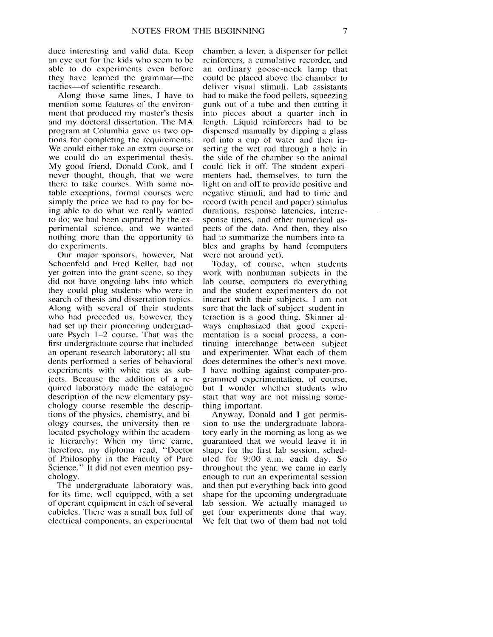duce interesting and valid data. Keep an eye out for the kids who seem to be able to do experiments even before they have learned the grammar—the tactics—of scientific research.

Along those same lines, I have to mention some features of the environment that produced my master's thesis and my doctoral dissertation. The MA program at Columbia gave us two options for completing the requirements: We could either take an extra course or we could do an experimental thesis. My good friend, Donald Cook, and I never thought, though, that we were there to take courses. With some notable exceptions, formal courses were simply the price we had to pay for being able to do what we really wanted to do; we had been captured by the experimental science, and we wanted nothing more than the opportunity to do experiments.

Our major sponsors, however, Nat Schoenfeld and Fred Keller, had not yet gotten into the grant scene, so they did not have ongoing labs into which they could plug students who were in search of thesis and dissertation topics. Along with several of their students who had preceded us, however, they had set up their pioneering undergraduate Psych l-2 course. That was the first undergraduate course that included an operant research laboratory; all students performed a series of behavioral experiments with white rats as subjects. Because the addition of a required laboratory made the catalogue description of the new elementary psychology course resemble the descriptions of the physics, chemistry, and biology courses, the university then relocated psychology within the academic hierarchy: When my time came. therefbre, my diploma read, "Doctor of Philosophy in the Faculty of Pure Science." lt did not even mention psychology.

The undergraduate laboratory was, for its time, well equipped, with a set of operant equipment in each of several cubicles. There was a small box full of electrical components, an experimental chamber, a lever, a dispenser for pellet reinforcers, a cumulative recorder, and an ordinary goose-neck lamp that could be placed above the chamber to deliver visual stimuli. Lab assistants had to make the food pellets, squeezing gunk out of a tube and then cutting it into pieces about a quarter inch in length. Liquid reinforcers had to be dispensed manually by dipping a glass rod into a cup of water and then inserting the wet rod through a hole in the side of the chamber so the animal could lick it off. The student experimenters had, themselves, to turn the light on and off to provide positive and negative stimuli, and had to time and record (with pencil and paper) stimulus durations, response latencies, interresponse times, and other numerical aspects of the data. And then, they also had to summarize the numbers into tables and graphs by hand (computers were not around yet).

Today, of course, when students work with nonhuman subjects in the lab course, computers do everything and the student experimenters do not interact with their subjects. I am not sure that the lack of subject-student interaction is a good thing. Skinner always emphasized that good experimentation is a social process, a continuing interchange between subject and experimenter. What each of them does determines the other's next move. I have nothing against computer-programmed experimentation, of course, but I wonder whether students who start that way are not missing something important.

Anyway, Donald and I got permission to use the undergraduate laboratory early in the morning as long as we guaranteed that we would leave it in shape for the first lab session, scheduled for 9:00 a.m. each day. So throughout the year, we came in early enough to run an experimental session and then put everything back into good shape for the upcoming undergraduate lab session. We actually managed to get four experiments done that way. We felt that two of them had not told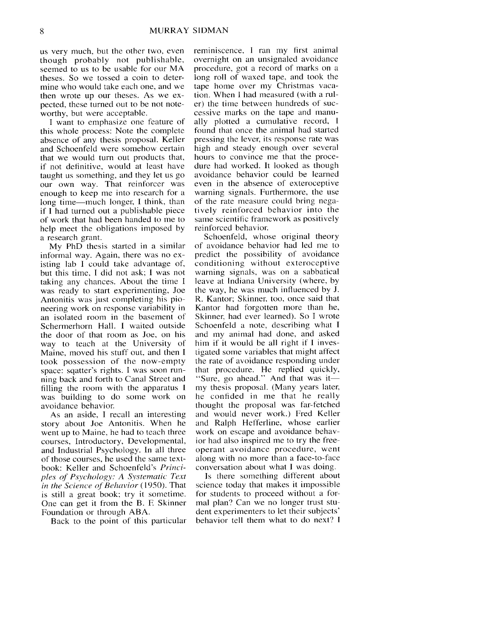us very much, but the other two, even though probably not publishable, seemed to us to be usable for our MA theses. So we tossed a coin to determine who would take each one, and we then wrote up our theses. As we expected, these turned out to be not noteworthy, but were acceptable.

I want to emphasize one feature of this whole process: Note the complete absence of any thesis proposal. Keller and Schoenfeld were somehow certain that we would turn out products that, if not definitive, would at least have taught us something, and they let us go our own way. That reinforcer was enough to keep me into research for a long time—much longer, I think, than if I had turned out a publishable piece of work that had been handed to me to help meet the obligations imposed by a research grant.

My PhD thesis started in a similar informal way. Again, there was no existing lab I could take advantage of, but this time, I did not ask; I was not taking any chances. About the time I was ready to start experimenting, Joe Antonitis was just completing his pioneering work on response variability in an isolated room in the basement of Schermerhorn Hall. I waited outside the door of that room as Joe. on his way to teach at the University of Maine, moved his stuff out, and then I took possession of the now-empty space: sqatter's rights. I was soon running back and fbrth to Canal Street and filling the room with the apparatus I was building to do some work on avoidance behavior.

As an aside, I recall an interesting story about Joe Antonitis. When he went up to Maine, he had to teach three courses, Introductory, Developmental, and Industrial Psychology. In all three of those courses. he used the same textbook: Keller and Schoenfeld's Principles of Psychology: A Systematic Text in the Science of Behavior (1950). That is still a great book; try it sometime. One can get it fiom the B. F, Skinner Foundation or through ABA.

Back to the point of this particular

reminiscence, I ran my first animal overnight on an unsignaled avoidance procedure, got a record of marks on a long roll of waxed tape, and took the tape home over my Christmas vacation. When I had measured (with a ruler) the time between hundreds of successive marks on the tape and manually plotted a cumulative record, I found that once the animal had started pressing the lever, its response rate was high and steady enough over several hours to convince me that the procedure had worked. It looked as though avoidance behavior could be learned even in the absence of exteroceptive warning signals. Furthermore, the use of the rate measure could bring negatively reinforced behavior into the same scientific fiamework as positively reinforced behavior.

Schoenfeld, whose original theory of avoidance behavior had led me to predict the possibility of avoidance conditioning without exteroceptive warning signals, was on a sabbatical leave at Indiana University (where, by the way, he was much influenced by J. R. Kantor; Skinner, too, once said that Kantor had forgotten more than he, Skinner, had ever learned). So I wrote Schoenfeld a note, describing what I and my animal had done, and asked him if it would be all right if I investigated some variables that might affect the rate of avoidance responding under that procedure. He replied quickly, "Sure, go ahead." And that was itmy thesis proposal. (Many years later, he confided in me that he really thought the proposal was far-tetched and would never work.) Fred Keller and Ralph Hefferline, whose earlier work on escape and avoidance behavior had also inspired me to try the fieeoperant avoidance procedure, went along with no more than a face-to-face conversation about what I was doing.

Is there something different about science today that makes it impossible for students to proceed without a formal plan? Can we no longer trust student experimenters to let their subjects' behavior tell them what to do next? I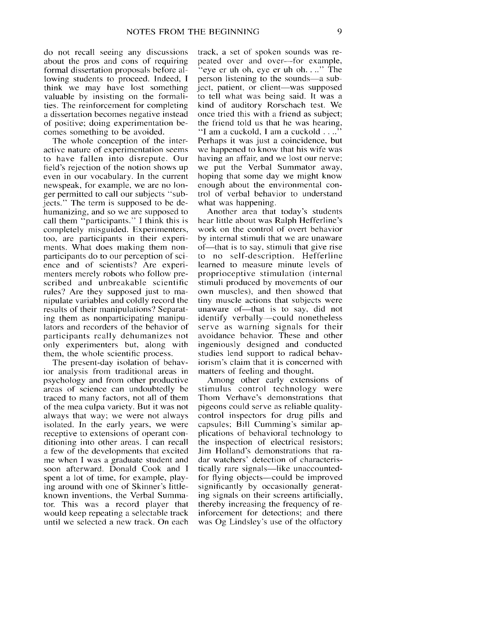do not recall seeing any discussions about the pros and cons of requiring formal dissertation proposals before allowing students to proceed. Indeed, I think we may have lost something valuable by insisting on the formalities. The reinforcement for completing a dissertation becomes negative instead of positive; doing experimentation becomes something to be avoided.

The whole conception of the interactive nature of experimentation seems to have fallen into disrepute. Our field's rejection of the notion shows up even in our vocabulary. In the current newspeak, for example, we are no longer permitted to call our subjects "subjects." The term is supposed to be dehumanizing, and so we are supposed to call them "participants." I think this is completely misguided. Experimenters, too, are participants in their experiments. What does making them nonparticipants do to our perception of science and of scientists? Are experimenters merely robots who follow prescribed and unbreakable scientific rules? Are they supposed just to manipulate variables and coldly record the results of their manipulations? Separating them as nonparticipating manipulators and recorders of the behavior of participants really dehumanizes not only experimenters but, along with them, the whole scientific process.

The present-day isolation of behavior analysis from traditional areas in psychology and fiom other productive areas of science can undoubtedly be traced to many factors, not all of them of the mea culpa variety. But it was not always that way; we were not always isolated. In the early years, we were receptive to extensions of operant conditioning into other areas. I can recall a few of the developments that excited me when I was a graduate student and soon afterward. Donald Cook and I spent a lot of time, for example, playing around with one of Skinner's littleknown inventions. the Verbal Summator. This was a record player that would keep repeating a selectable track until we selected a new track. On each

track, a set of spoken sounds was repeated over and over-for example, 'eye er uh oh, eye er uh oh....'' The person listening to the sounds-a subject, patient, or client-was supposed to tell what was being said. It was a kind of auditory Rorschach test. We once tried this with a friend as subject; the triend told us that he was hearing, "I am a cuckold. I am a cuckold . . .." Perhaps it was just a coincidence, but we happened to know that his wife was having an affair, and we lost our nerve; we put the Verbal Summator away, hoping that some day we might know enough about the environmental control of verbal behavior to understand what was happening.

Another area that today's students hear little about was Ralph Hefferline's work on the control of overt behavior by internal stimuli that we are unaware of—that is to say, stimuli that give rise to no self-description. Hefferline learned to measure minute levels of proprioceptive stimulation (internal stimuli produced by movements of our own muscles), and then showed that tiny muscle actions that subjects were unaware of—that is to say, did not identify verbally-could nonetheless serve as warning signals for their avoidance behavior. These and other ingeniously designed and conducted studies lend support to radical behaviorism's claim that it is concerned with matters of feeling and thought.

Among other early extensions of stimulus control technology were Thom Verhave's demonstrations that pigeons could serve as reliable qualitycontrol inspectors for drug pills and capsules; Bill Cumming's similar applications of behavioral technology to the inspection of electrical resistors; Jim Holland's demonstrations that radar watchers' detection of characteristically rare signals—like unaccountedfor flying objects—could be improved significantly by occasionally generating signals on their screens artificially, thereby increasing the fiequency of reinforcement for detections; and there was Og Lindsley's use of the olfactory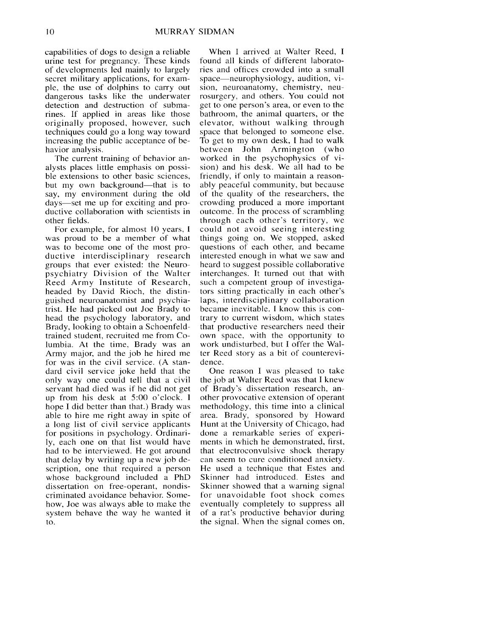capabilities of dogs to design a reliable urine test for pregnancy. These kinds of developments led mainly to largely secret military applications, for example, the use of dolphins to carry out dangerous tasks like the underwater detection and destruction of submarines. If applied in areas like those originally proposed, however, such techniques could go a long way toward increasing the public acceptance of behavior analysis.

The current training of behavior analysts places little emphasis on possible extensions to other basic sciences. but my own background—that is to say, my environment during the old days—set me up for exciting and productive collaboration with scientists in other fields.

For example, for almost 10 years, I was proud to be a member of what was to become one of the most productive interdisciplinary research groups that ever existed: the Neuropsychiatry Division of the Walter Reed Army Institute of Research, headed by David Rioch, the distinguished neuroanatomist and psychiatrist. He had picked out Joe Brady to head the psychology laboratory, and Brady, looking to obtain a Schoenfeldtrained student, recruited me from Columbia. At the time, Brady was an Army major, and the job he hired me for was in the civil service. (A standard civil service joke held that the only way one could tell that a civil servant had died was if he did not get up from his desk at 5:00 o'clock. I hope I did better than that.) Brady was able to hire me right away in spite of a long list of civil service applicants for positions in psychology. Ordinarily, each one on that list would have had to be interviewed. He got around that delay by writing up a new job description, one that required a person whose background included a PhD dissertation on free-operant, nondiscriminated avoidance behavior. Somehow, Joe was always able to make the system behave the way he wanted it to.

When I arrived at Walter Reed. I found all kinds of different laboratories and offices crowded into a small space—neurophysiology, audition, vision, neuroanatomy, chemistry, neurosurgery, and others. You could not get to one person's area, or even to the bathroom, the animal quarters, or the elevator, without walking through space that belonged to someone else. To get to my own desk, I had to walk between John Armington (who worked in the psychophysics of vision) and his desk. We all had to be friendly. if only to maintain a reasonably peaceful community, but because of the quality of the researchers, the crowding produced a more importanl outcome. In the process of scrambling through each other's territory, we could not avoid seeing interesting things going on. We stopped, asked questions of each other, and became interested enough in what we saw and heard to suggest possible collaborative interchanges. It turned out that with such a competent group of investigators sitting practically in each other's laps, interdisciplinary collaboration became inevitable. I know this is contrary to current wisdom, which states that productive researchers need their own space. with the opportunity to work undisturbed. but I offer the Walter Reed story as a bit of counterevidence.

One reason I was pleased to take the job at Walter Reed was that I knew of Brady's dissertation research, another provocative extension of operant methodology, this time into a clinical area. Brady, sponsored by Howard Hunt at the University of Chicago, had done a remarkable series of experiments in which he demonstrated, first, that electroconvulsive shock therapy can seem to cure conditioned anxiety. He used a technique that Estes and Skinner had introduced. Estes and Skinner showed that a warning signal for unavoidable foot shock comes eventually completely to suppress all of a rat's productive behavior during the signal. When the signal comes on,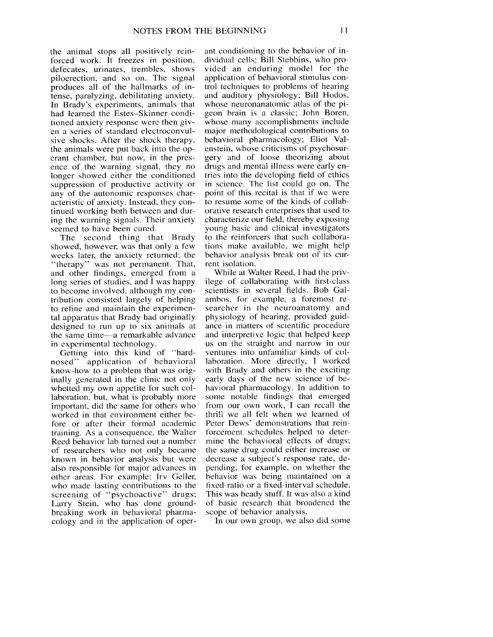the animal stops all positively reinforced work. It freezes in position, defecates. urinates, trembles, shows piloerection, and so on. The signal produces all of the hallmarks of intense, paralyzing, debilitating anxiety. In Brady's experiments, animals that had learned the Estes-Skinner conditioned anxiety response were then given a series of standard electroconvulsive shocks. After the shock therapy, the animals were put back into the operant chamber, but now, in the presence of the warning signal, they no longer showed either the conditioned suppression of productive activity or any of the autonomic responses characteristic of anxiety. Instead, they continued working both between and during the warning signals. Their anxiety seemed to have been cured.

The second thing that Brady showed, however, was that only a few weeks later, the anxiety returned; the "therapy" was not permanent. That, and other findings, emerged from a long series of studies, and I was happy to become involved, although my contribution consisted largely of helping to refine and maintain the experimental apparatus that Brady had originally designed to run up to six animals at the same time—a remarkable advance in experimental technology.

Getting into this kind of "hardnosed" application of behavioral know-how to a problem that was originally generated in the clinic not only whetted my own appetite for such collaboration, but, what is probably more important, did the same for others who worked in that environment either before or after their formal academic training. As a consequence, the Walter Reed behavior lab turned out a number of researchers who not only became known in behavior analysis but were also responsible for major advances in other areas. For example: Irv Geller, who made lasting contributions to the screening of "psychoactive" drugs; Larry Stein, who has done groundbreaking work in behavioral pharmacology and in the application of operant conditioning to the behavior of individual cells; Bill Stebbins, who provided an enduring model for the application of behavioral stimulus control techniques to problems of hearing and auditory physiology; Bill Hodos, whose neuronanatomic atlas of the pigeon brain is a classic; John Boren, whose many accomplishments include major methodological contributions to behavioral pharmacology; Eliot Valenstein, whose criticisms of psychosurgery and of loose theorizing about drugs and mental illness were early entries into the developing field of ethics in science. The list could go on. The point of this recital is that if we were to resume some of the kinds of collaborative research enterprises that used to characterize our field, thereby exposing young basic and clinical investigators to the reinfbrcers that such collaborations make available, we might help behavior analysis break out of its current isolation.

While at Walter Reed, I had the privilege of collaborating with first-class scientists in several fields. Bob Galambos, for example, a foremost researcher in the neuroanatomy and physiology of hearing, provided guidance in matters of scientific procedure and interpretive logic that helped keep us on the straight and narrow in our ventures into unfamiliar kinds of collaboration. More directly, I worked with Brady and others in the exciting early days of the new science of behavioral pharmacology. In addition to some notable findings that emerged from our own work. I can recall the thrill we all felt when we learned of Peter Dews' demonstrations that reinforcement schedules helped to determine the behavioral effects of drugs; the same drug could either increase or decrease a subject's response rate, depending, for example, on whether the behavior was being maintained on a fixed-ratio or a fixed-interval schedule. This was heady stuff. It was also a kind of basic research that broadened the scope of behavior analysis.

In our own group, we also did some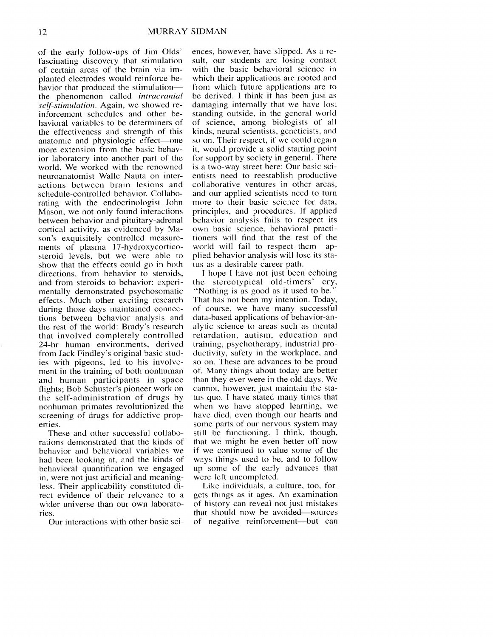of the early follow-ups of Jim Olds' fascinating discovery that stimulation of certain areas of the brain via implanted electrodes would reinforce behavior that produced the stimulationthe phenomenon called intracranial self-stimulation. Again, we showed reinforcement schedules and other behavioral variables to be determiners of the effectiveness and strength of this anatomic and physiologic effect-one more extension from the basic behavior laboratory into another part of the world. We worked with the renowned neuroanatomist Walle Nauta on interactions between brain lesions and schedule-controlled behavior. Collaborating with the endocrinologist John Mason, we not only found interactions between behavior and pituitary-adrenal cortical activity, as evidenced by Mason's exquisitely controlled measurements of plasma l7-hydroxycorticosteroid levels, but we were able to show that the effects could go in both directions, from behavior to steroids, and from steroids to behavior: experimentally demonstrated psychosomatic effects. Much other exciting research during those days maintained connections between behavior analysis and the rest of the world: Brady's research that involved completely controlled 24-hr human environments. derived from Jack Findley's original basic studies with pigeons, Ied to his involvement in the training of both nonhuman and human participants in space flights; Bob Schuster's pioneer work on the self-administration of drugs by nonhuman primates revolutionized the screening of drugs for addictive properties.

These and other successful collaborations demonstrated that the kinds of behavior and behavioral variables we had been looking at, and the kinds of behavioral quantification we engaged in, were not just artificial and meaningless. Their applicability constituted direct evidence of their relevance to a wider universe than our own laboratories.

Our interactions with other basic sci-

ences, however, have slipped. As a result, our students are losing contact with the basic behavioral science in which their applications are rooted and from which future applications are to be derived. I think it has been just as damaging internally that we have lost standing outside, in the general world of science, among biologists of all kinds, neural scientists, geneticists, and so on. Their respect, if we could regain it, would provide a solid starting point for support by society in general. There is a two-way street here: Our basic scientists need to reestablish productive collaborative ventures in other areas. and our applied scientists need to turn more to their basic science for data. principles, and procedures. [f applied behavior analysis fails to respect its own basic science, behavioral practitioners will find that the rest of the world will fail to respect them—applied behavior analysis will lose its status as a desirable career path.

I hope I have not just been echoing the stereotypical old-timers' cry, "Nothing is as good as it used to be." That has not been my intention. Today, of course, we have many successful data-based applications of behavior-analytic science to areas such as mental retardation, autism, education and training, psychotherapy, industrial productivity, safety in the workplace, and so on. These are advances to be proud of. Many things about today are better than they ever were in the old days. We cannot, however, just maintain the status quo. I have stated many times that when we have stopped learning, we have died, even though our hearts and some parts of our nervous system may still be functioning. I think, though, that we might be even better off now if we continued to value some of the ways things used to be, and to follow up some of the early advances that were left uncompleted.

Like individuals, a culture, too, forgets things as it ages. An examination of history can reveal not just mistakes that should now be avoided-sources of negative reinforcement—but can